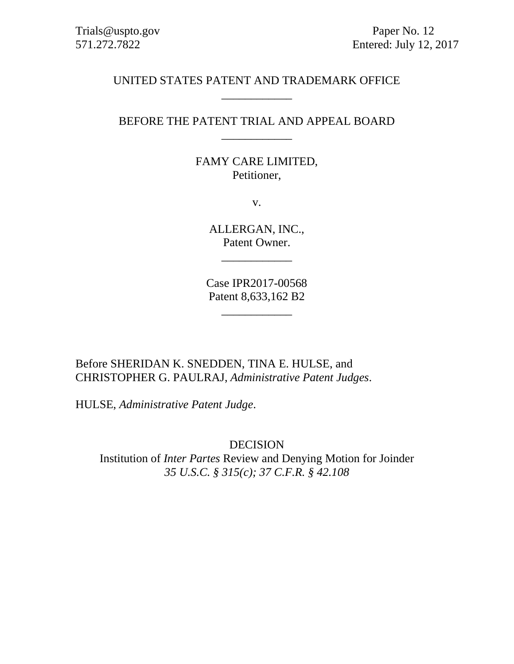# UNITED STATES PATENT AND TRADEMARK OFFICE \_\_\_\_\_\_\_\_\_\_\_\_

# BEFORE THE PATENT TRIAL AND APPEAL BOARD \_\_\_\_\_\_\_\_\_\_\_\_

# FAMY CARE LIMITED, Petitioner,

v.

ALLERGAN, INC., Patent Owner.

\_\_\_\_\_\_\_\_\_\_\_\_

Case IPR2017-00568 Patent 8,633,162 B2

\_\_\_\_\_\_\_\_\_\_\_\_

Before SHERIDAN K. SNEDDEN, TINA E. HULSE, and CHRISTOPHER G. PAULRAJ, *Administrative Patent Judges*.

HULSE, *Administrative Patent Judge*.

DECISION Institution of *Inter Partes* Review and Denying Motion for Joinder *35 U.S.C. § 315(c); 37 C.F.R. § 42.108*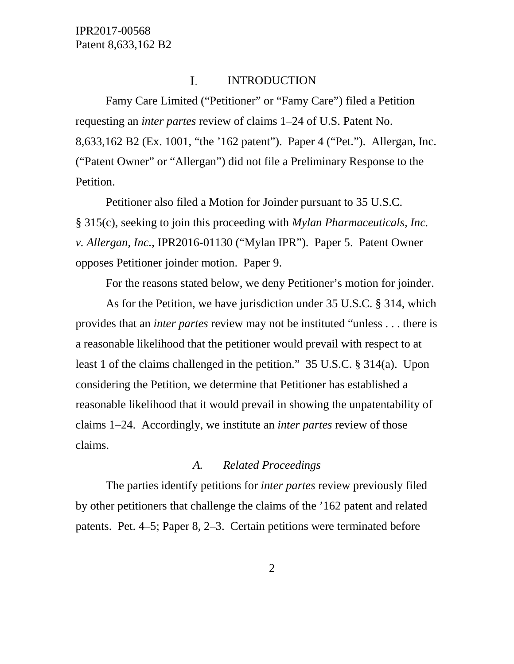#### I. INTRODUCTION

Famy Care Limited ("Petitioner" or "Famy Care") filed a Petition requesting an *inter partes* review of claims 1–24 of U.S. Patent No. 8,633,162 B2 (Ex. 1001, "the '162 patent"). Paper 4 ("Pet."). Allergan, Inc. ("Patent Owner" or "Allergan") did not file a Preliminary Response to the Petition.

Petitioner also filed a Motion for Joinder pursuant to 35 U.S.C. § 315(c), seeking to join this proceeding with *Mylan Pharmaceuticals, Inc. v. Allergan, Inc.*, IPR2016-01130 ("Mylan IPR"). Paper 5. Patent Owner opposes Petitioner joinder motion. Paper 9.

For the reasons stated below, we deny Petitioner's motion for joinder.

As for the Petition, we have jurisdiction under 35 U.S.C. § 314, which provides that an *inter partes* review may not be instituted "unless . . . there is a reasonable likelihood that the petitioner would prevail with respect to at least 1 of the claims challenged in the petition." 35 U.S.C. § 314(a). Upon considering the Petition, we determine that Petitioner has established a reasonable likelihood that it would prevail in showing the unpatentability of claims 1–24. Accordingly, we institute an *inter partes* review of those claims.

### *A. Related Proceedings*

The parties identify petitions for *inter partes* review previously filed by other petitioners that challenge the claims of the '162 patent and related patents. Pet. 4–5; Paper 8, 2–3. Certain petitions were terminated before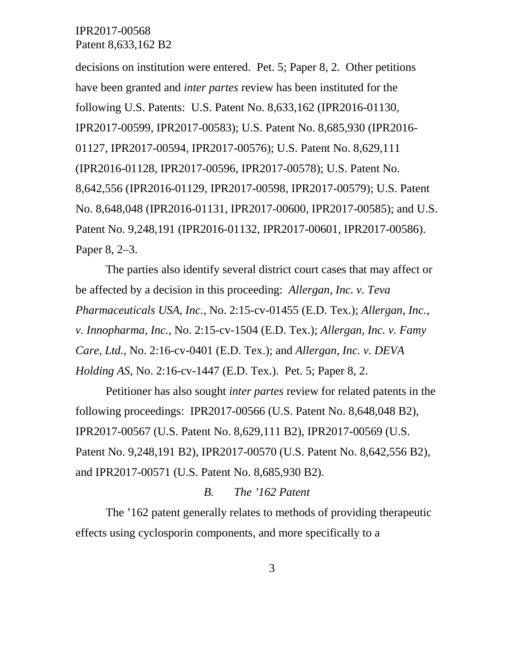decisions on institution were entered. Pet. 5; Paper 8, 2. Other petitions have been granted and *inter partes* review has been instituted for the following U.S. Patents: U.S. Patent No. 8,633,162 (IPR2016-01130, IPR2017-00599, IPR2017-00583); U.S. Patent No. 8,685,930 (IPR2016- 01127, IPR2017-00594, IPR2017-00576); U.S. Patent No. 8,629,111 (IPR2016-01128, IPR2017-00596, IPR2017-00578); U.S. Patent No. 8,642,556 (IPR2016-01129, IPR2017-00598, IPR2017-00579); U.S. Patent No. 8,648,048 (IPR2016-01131, IPR2017-00600, IPR2017-00585); and U.S. Patent No. 9,248,191 (IPR2016-01132, IPR2017-00601, IPR2017-00586). Paper 8, 2–3.

The parties also identify several district court cases that may affect or be affected by a decision in this proceeding: *Allergan, Inc. v. Teva Pharmaceuticals USA, Inc.*, No. 2:15-cv-01455 (E.D. Tex.); *Allergan, Inc., v. Innopharma, Inc.*, No. 2:15-cv-1504 (E.D. Tex.); *Allergan, Inc. v. Famy Care, Ltd.*, No. 2:16-cv-0401 (E.D. Tex.); and *Allergan, Inc. v. DEVA Holding AS*, No. 2:16-cv-1447 (E.D. Tex.). Pet. 5; Paper 8, 2.

Petitioner has also sought *inter partes* review for related patents in the following proceedings: IPR2017-00566 (U.S. Patent No. 8,648,048 B2), IPR2017-00567 (U.S. Patent No. 8,629,111 B2), IPR2017-00569 (U.S. Patent No. 9,248,191 B2), IPR2017-00570 (U.S. Patent No. 8,642,556 B2), and IPR2017-00571 (U.S. Patent No. 8,685,930 B2).

### *B. The '162 Patent*

The '162 patent generally relates to methods of providing therapeutic effects using cyclosporin components, and more specifically to a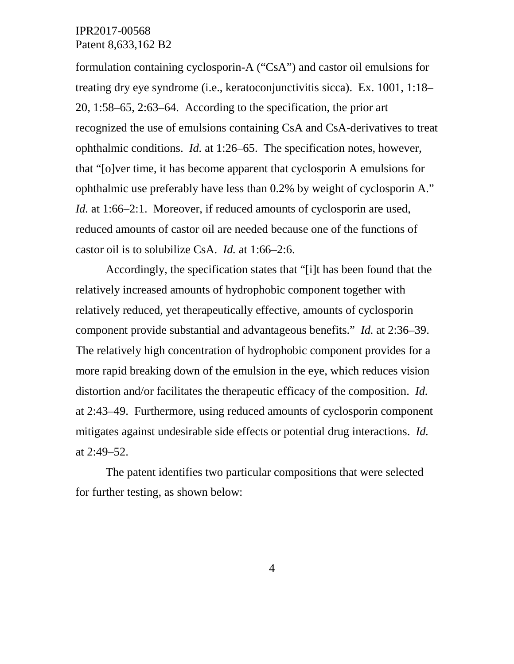formulation containing cyclosporin-A ("CsA") and castor oil emulsions for treating dry eye syndrome (i.e., keratoconjunctivitis sicca). Ex. 1001, 1:18– 20, 1:58–65, 2:63–64. According to the specification, the prior art recognized the use of emulsions containing CsA and CsA-derivatives to treat ophthalmic conditions. *Id.* at 1:26–65. The specification notes, however, that "[o]ver time, it has become apparent that cyclosporin A emulsions for ophthalmic use preferably have less than 0.2% by weight of cyclosporin A." *Id.* at 1:66–2:1. Moreover, if reduced amounts of cyclosporin are used, reduced amounts of castor oil are needed because one of the functions of castor oil is to solubilize CsA. *Id.* at 1:66–2:6.

Accordingly, the specification states that "[i]t has been found that the relatively increased amounts of hydrophobic component together with relatively reduced, yet therapeutically effective, amounts of cyclosporin component provide substantial and advantageous benefits." *Id.* at 2:36–39. The relatively high concentration of hydrophobic component provides for a more rapid breaking down of the emulsion in the eye, which reduces vision distortion and/or facilitates the therapeutic efficacy of the composition. *Id.* at 2:43–49. Furthermore, using reduced amounts of cyclosporin component mitigates against undesirable side effects or potential drug interactions. *Id.* at 2:49–52.

The patent identifies two particular compositions that were selected for further testing, as shown below: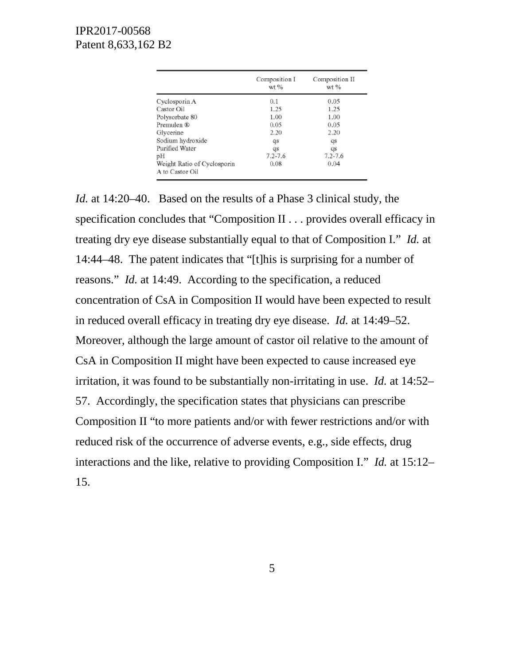|                                                | Composition I<br>$wt$ % | Composition II<br>wt % |  |
|------------------------------------------------|-------------------------|------------------------|--|
| Cyclosporin A                                  | 0.1                     | 0.05                   |  |
| Castor Oil                                     | 1.25                    | 1.25                   |  |
| Polysorbate 80                                 | 1.00                    | 1.00                   |  |
| Premulen ®                                     | 0.05                    | 0.05                   |  |
| Glycerine                                      | 2.20                    | 2.20                   |  |
| Sodium hydroxide                               | qs                      | qs                     |  |
| Purified Water                                 | qs                      | qs                     |  |
| рH                                             | $7.2 - 7.6$             | $7.2 - 7.6$            |  |
| Weight Ratio of Cyclosporin<br>A to Castor Oil | 0.08                    | 0.04                   |  |

*Id.* at 14:20–40. Based on the results of a Phase 3 clinical study, the specification concludes that "Composition II . . . provides overall efficacy in treating dry eye disease substantially equal to that of Composition I." *Id.* at 14:44–48. The patent indicates that "[t]his is surprising for a number of reasons." *Id.* at 14:49. According to the specification, a reduced concentration of CsA in Composition II would have been expected to result in reduced overall efficacy in treating dry eye disease. *Id.* at 14:49–52. Moreover, although the large amount of castor oil relative to the amount of CsA in Composition II might have been expected to cause increased eye irritation, it was found to be substantially non-irritating in use. *Id.* at 14:52– 57. Accordingly, the specification states that physicians can prescribe Composition II "to more patients and/or with fewer restrictions and/or with reduced risk of the occurrence of adverse events, e.g., side effects, drug interactions and the like, relative to providing Composition I." *Id.* at 15:12– 15.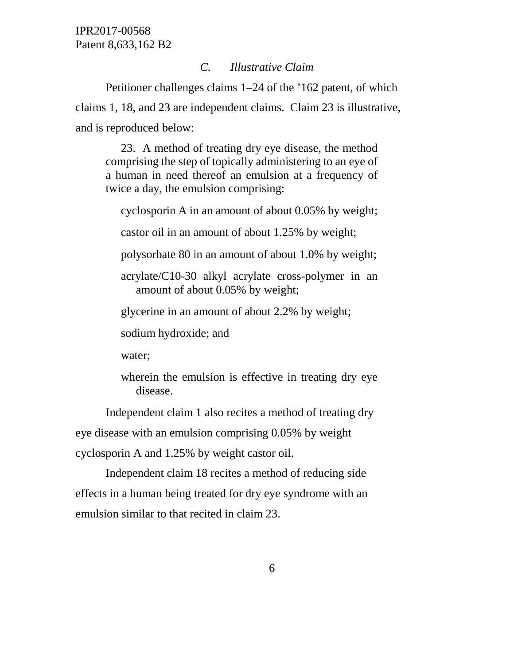### *C. Illustrative Claim*

Petitioner challenges claims 1–24 of the '162 patent, of which claims 1, 18, and 23 are independent claims. Claim 23 is illustrative, and is reproduced below:

23. A method of treating dry eye disease, the method comprising the step of topically administering to an eye of a human in need thereof an emulsion at a frequency of twice a day, the emulsion comprising:

cyclosporin A in an amount of about 0.05% by weight;

castor oil in an amount of about 1.25% by weight;

polysorbate 80 in an amount of about 1.0% by weight;

acrylate/C10-30 alkyl acrylate cross-polymer in an amount of about 0.05% by weight;

glycerine in an amount of about 2.2% by weight;

sodium hydroxide; and

water;

wherein the emulsion is effective in treating dry eye disease.

Independent claim 1 also recites a method of treating dry eye disease with an emulsion comprising 0.05% by weight cyclosporin A and 1.25% by weight castor oil.

Independent claim 18 recites a method of reducing side effects in a human being treated for dry eye syndrome with an emulsion similar to that recited in claim 23.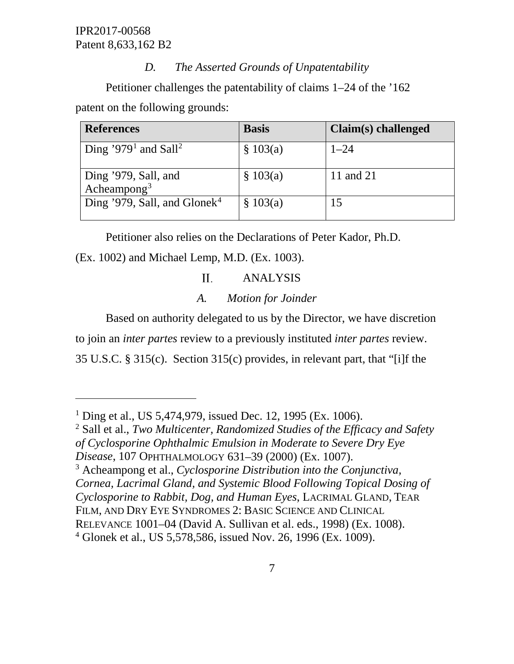$\overline{a}$ 

## *D. The Asserted Grounds of Unpatentability*

Petitioner challenges the patentability of claims 1–24 of the '162 patent on the following grounds:

| <b>References</b>                            | <b>Basis</b> | Claim(s) challenged |
|----------------------------------------------|--------------|---------------------|
| Ding '979 <sup>1</sup> and Sall <sup>2</sup> | \$103(a)     | $1 - 24$            |
| Ding '979, Sall, and<br>Acheampong $3$       | \$103(a)     | 11 and 21           |
| Ding '979, Sall, and Glonek <sup>4</sup>     | \$103(a)     | 15                  |

Petitioner also relies on the Declarations of Peter Kador, Ph.D.

## (Ex. 1002) and Michael Lemp, M.D. (Ex. 1003).

#### $II.$ ANALYSIS

# *A. Motion for Joinder*

Based on authority delegated to us by the Director, we have discretion

to join an *inter partes* review to a previously instituted *inter partes* review.

35 U.S.C. § 315(c). Section 315(c) provides, in relevant part, that "[i]f the

<span id="page-6-2"></span><sup>3</sup> Acheampong et al., *Cyclosporine Distribution into the Conjunctiva, Cornea, Lacrimal Gland, and Systemic Blood Following Topical Dosing of Cyclosporine to Rabbit, Dog, and Human Eyes*, LACRIMAL GLAND, TEAR

FILM, AND DRY EYE SYNDROMES 2: BASIC SCIENCE AND CLINICAL

<span id="page-6-0"></span><sup>&</sup>lt;sup>1</sup> Ding et al., US 5,474,979, issued Dec. 12, 1995 (Ex. 1006).

<span id="page-6-1"></span><sup>2</sup> Sall et al., *Two Multicenter, Randomized Studies of the Efficacy and Safety of Cyclosporine Ophthalmic Emulsion in Moderate to Severe Dry Eye* 

*Disease*, 107 OPHTHALMOLOGY 631–39 (2000) (Ex. 1007).

RELEVANCE 1001–04 (David A. Sullivan et al. eds., 1998) (Ex. 1008).

<span id="page-6-3"></span><sup>4</sup> Glonek et al., US 5,578,586, issued Nov. 26, 1996 (Ex. 1009).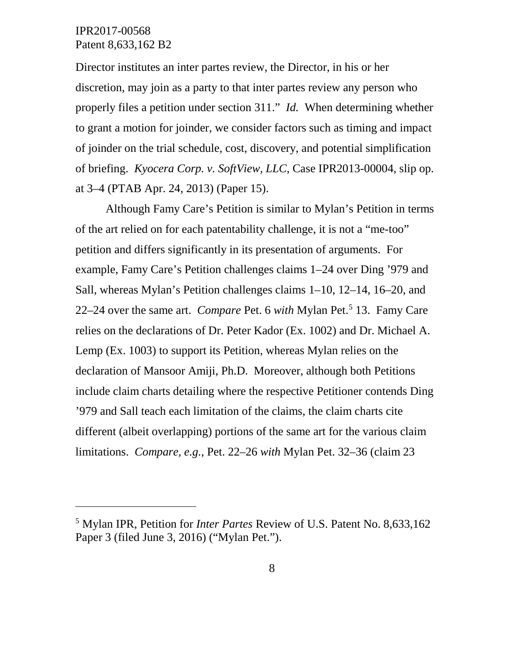$\overline{a}$ 

Director institutes an inter partes review, the Director, in his or her discretion, may join as a party to that inter partes review any person who properly files a petition under section 311." *Id.* When determining whether to grant a motion for joinder, we consider factors such as timing and impact of joinder on the trial schedule, cost, discovery, and potential simplification of briefing. *Kyocera Corp. v. SoftView, LLC*, Case IPR2013-00004, slip op. at 3–4 (PTAB Apr. 24, 2013) (Paper 15).

Although Famy Care's Petition is similar to Mylan's Petition in terms of the art relied on for each patentability challenge, it is not a "me-too" petition and differs significantly in its presentation of arguments. For example, Famy Care's Petition challenges claims 1–24 over Ding '979 and Sall, whereas Mylan's Petition challenges claims 1–10, 12–14, 16–20, and 22–24 over the same art. *Compare* Pet. 6 *with* Mylan Pet.<sup>[5](#page-7-0)</sup> 13. Famy Care relies on the declarations of Dr. Peter Kador (Ex. 1002) and Dr. Michael A. Lemp (Ex. 1003) to support its Petition, whereas Mylan relies on the declaration of Mansoor Amiji, Ph.D. Moreover, although both Petitions include claim charts detailing where the respective Petitioner contends Ding '979 and Sall teach each limitation of the claims, the claim charts cite different (albeit overlapping) portions of the same art for the various claim limitations. *Compare, e.g.*, Pet. 22–26 *with* Mylan Pet. 32–36 (claim 23

<span id="page-7-0"></span><sup>5</sup> Mylan IPR, Petition for *Inter Partes* Review of U.S. Patent No. 8,633,162 Paper 3 (filed June 3, 2016) ("Mylan Pet.").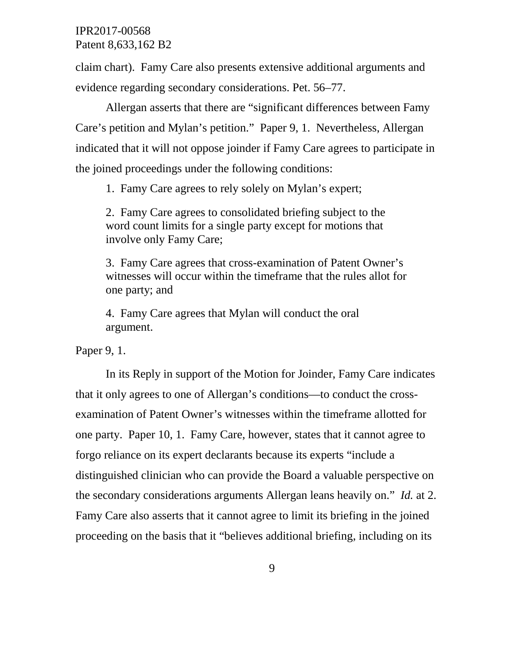claim chart). Famy Care also presents extensive additional arguments and evidence regarding secondary considerations. Pet. 56–77.

Allergan asserts that there are "significant differences between Famy Care's petition and Mylan's petition." Paper 9, 1. Nevertheless, Allergan indicated that it will not oppose joinder if Famy Care agrees to participate in the joined proceedings under the following conditions:

1. Famy Care agrees to rely solely on Mylan's expert;

2. Famy Care agrees to consolidated briefing subject to the word count limits for a single party except for motions that involve only Famy Care;

3. Famy Care agrees that cross-examination of Patent Owner's witnesses will occur within the timeframe that the rules allot for one party; and

4. Famy Care agrees that Mylan will conduct the oral argument.

Paper 9, 1.

In its Reply in support of the Motion for Joinder, Famy Care indicates that it only agrees to one of Allergan's conditions—to conduct the crossexamination of Patent Owner's witnesses within the timeframe allotted for one party. Paper 10, 1. Famy Care, however, states that it cannot agree to forgo reliance on its expert declarants because its experts "include a distinguished clinician who can provide the Board a valuable perspective on the secondary considerations arguments Allergan leans heavily on." *Id.* at 2. Famy Care also asserts that it cannot agree to limit its briefing in the joined proceeding on the basis that it "believes additional briefing, including on its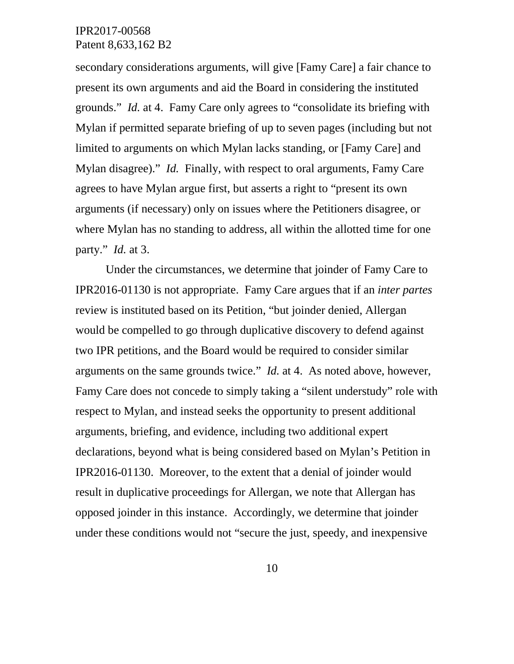secondary considerations arguments, will give [Famy Care] a fair chance to present its own arguments and aid the Board in considering the instituted grounds." *Id.* at 4. Famy Care only agrees to "consolidate its briefing with Mylan if permitted separate briefing of up to seven pages (including but not limited to arguments on which Mylan lacks standing, or [Famy Care] and Mylan disagree)." *Id.* Finally, with respect to oral arguments, Famy Care agrees to have Mylan argue first, but asserts a right to "present its own arguments (if necessary) only on issues where the Petitioners disagree, or where Mylan has no standing to address, all within the allotted time for one party." *Id.* at 3.

Under the circumstances, we determine that joinder of Famy Care to IPR2016-01130 is not appropriate. Famy Care argues that if an *inter partes* review is instituted based on its Petition, "but joinder denied, Allergan would be compelled to go through duplicative discovery to defend against two IPR petitions, and the Board would be required to consider similar arguments on the same grounds twice." *Id.* at 4. As noted above, however, Famy Care does not concede to simply taking a "silent understudy" role with respect to Mylan, and instead seeks the opportunity to present additional arguments, briefing, and evidence, including two additional expert declarations, beyond what is being considered based on Mylan's Petition in IPR2016-01130. Moreover, to the extent that a denial of joinder would result in duplicative proceedings for Allergan, we note that Allergan has opposed joinder in this instance. Accordingly, we determine that joinder under these conditions would not "secure the just, speedy, and inexpensive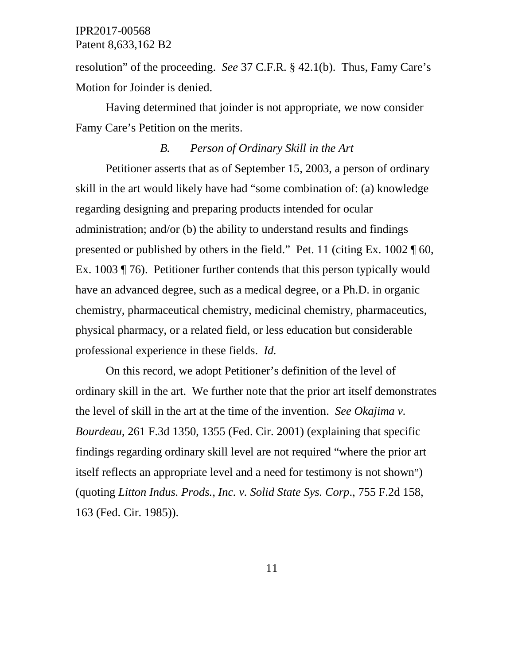resolution" of the proceeding. *See* 37 C.F.R. § 42.1(b). Thus, Famy Care's Motion for Joinder is denied.

Having determined that joinder is not appropriate, we now consider Famy Care's Petition on the merits.

## *B. Person of Ordinary Skill in the Art*

Petitioner asserts that as of September 15, 2003, a person of ordinary skill in the art would likely have had "some combination of: (a) knowledge regarding designing and preparing products intended for ocular administration; and/or (b) the ability to understand results and findings presented or published by others in the field." Pet. 11 (citing Ex. 1002 ¶ 60, Ex. 1003 ¶ 76). Petitioner further contends that this person typically would have an advanced degree, such as a medical degree, or a Ph.D. in organic chemistry, pharmaceutical chemistry, medicinal chemistry, pharmaceutics, physical pharmacy, or a related field, or less education but considerable professional experience in these fields. *Id.*

On this record, we adopt Petitioner's definition of the level of ordinary skill in the art. We further note that the prior art itself demonstrates the level of skill in the art at the time of the invention. *See Okajima v. Bourdeau*, 261 F.3d 1350, 1355 (Fed. Cir. 2001) (explaining that specific findings regarding ordinary skill level are not required "where the prior art itself reflects an appropriate level and a need for testimony is not shown") (quoting *Litton Indus. Prods., Inc. v. Solid State Sys. Corp*., 755 F.2d 158, 163 (Fed. Cir. 1985)).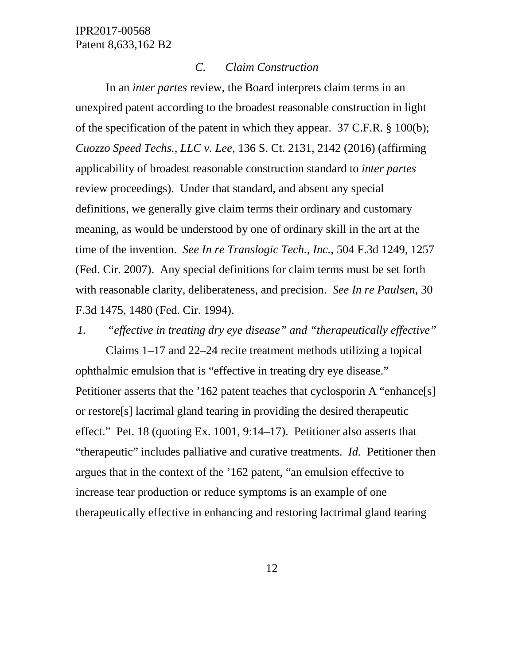#### *C. Claim Construction*

In an *inter partes* review, the Board interprets claim terms in an unexpired patent according to the broadest reasonable construction in light of the specification of the patent in which they appear. 37 C.F.R. § 100(b); *Cuozzo Speed Techs., LLC v. Lee*, 136 S. Ct. 2131, 2142 (2016) (affirming applicability of broadest reasonable construction standard to *inter partes* review proceedings). Under that standard, and absent any special definitions, we generally give claim terms their ordinary and customary meaning, as would be understood by one of ordinary skill in the art at the time of the invention. *See In re Translogic Tech., Inc.*, 504 F.3d 1249, 1257 (Fed. Cir. 2007). Any special definitions for claim terms must be set forth with reasonable clarity, deliberateness, and precision. *See In re Paulsen*, 30 F.3d 1475, 1480 (Fed. Cir. 1994).

*1. "effective in treating dry eye disease" and "therapeutically effective"*

Claims 1–17 and 22–24 recite treatment methods utilizing a topical ophthalmic emulsion that is "effective in treating dry eye disease." Petitioner asserts that the '162 patent teaches that cyclosporin A "enhance[s] or restore[s] lacrimal gland tearing in providing the desired therapeutic effect." Pet. 18 (quoting Ex. 1001, 9:14–17). Petitioner also asserts that "therapeutic" includes palliative and curative treatments. *Id.* Petitioner then argues that in the context of the '162 patent, "an emulsion effective to increase tear production or reduce symptoms is an example of one therapeutically effective in enhancing and restoring lactrimal gland tearing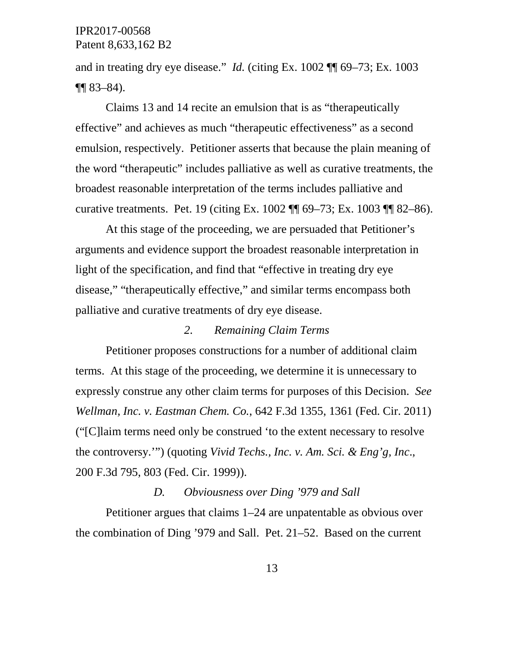and in treating dry eye disease." *Id.* (citing Ex. 1002 ¶¶ 69–73; Ex. 1003 ¶¶ 83–84).

Claims 13 and 14 recite an emulsion that is as "therapeutically effective" and achieves as much "therapeutic effectiveness" as a second emulsion, respectively. Petitioner asserts that because the plain meaning of the word "therapeutic" includes palliative as well as curative treatments, the broadest reasonable interpretation of the terms includes palliative and curative treatments. Pet. 19 (citing Ex. 1002 ¶¶ 69–73; Ex. 1003 ¶¶ 82–86).

At this stage of the proceeding, we are persuaded that Petitioner's arguments and evidence support the broadest reasonable interpretation in light of the specification, and find that "effective in treating dry eye disease," "therapeutically effective," and similar terms encompass both palliative and curative treatments of dry eye disease.

#### *2. Remaining Claim Terms*

Petitioner proposes constructions for a number of additional claim terms. At this stage of the proceeding, we determine it is unnecessary to expressly construe any other claim terms for purposes of this Decision. *See Wellman, Inc. v. Eastman Chem. Co.*, 642 F.3d 1355, 1361 (Fed. Cir. 2011) ("[C]laim terms need only be construed 'to the extent necessary to resolve the controversy.'") (quoting *Vivid Techs., Inc. v. Am. Sci. & Eng'g, Inc*., 200 F.3d 795, 803 (Fed. Cir. 1999)).

### *D. Obviousness over Ding '979 and Sall*

Petitioner argues that claims 1–24 are unpatentable as obvious over the combination of Ding '979 and Sall. Pet. 21–52. Based on the current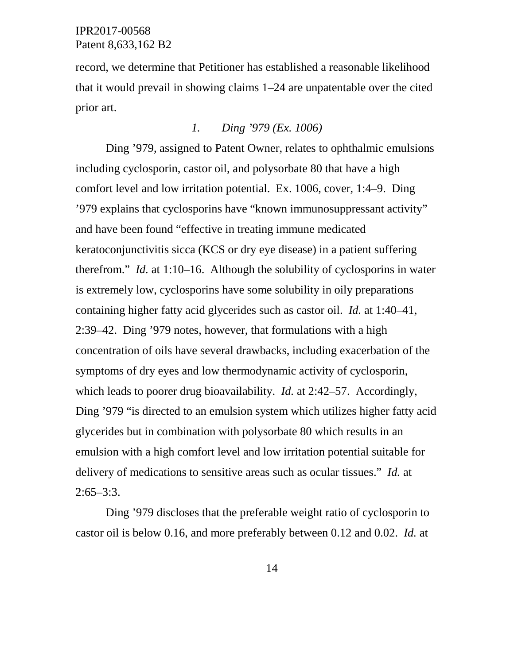record, we determine that Petitioner has established a reasonable likelihood that it would prevail in showing claims 1–24 are unpatentable over the cited prior art.

# *1. Ding '979 (Ex. 1006)*

Ding '979, assigned to Patent Owner, relates to ophthalmic emulsions including cyclosporin, castor oil, and polysorbate 80 that have a high comfort level and low irritation potential. Ex. 1006, cover, 1:4–9. Ding '979 explains that cyclosporins have "known immunosuppressant activity" and have been found "effective in treating immune medicated keratoconjunctivitis sicca (KCS or dry eye disease) in a patient suffering therefrom." *Id.* at 1:10–16. Although the solubility of cyclosporins in water is extremely low, cyclosporins have some solubility in oily preparations containing higher fatty acid glycerides such as castor oil. *Id.* at 1:40–41, 2:39–42. Ding '979 notes, however, that formulations with a high concentration of oils have several drawbacks, including exacerbation of the symptoms of dry eyes and low thermodynamic activity of cyclosporin, which leads to poorer drug bioavailability. *Id.* at 2:42–57. Accordingly, Ding '979 "is directed to an emulsion system which utilizes higher fatty acid glycerides but in combination with polysorbate 80 which results in an emulsion with a high comfort level and low irritation potential suitable for delivery of medications to sensitive areas such as ocular tissues." *Id.* at  $2:65 - 3:3$ .

Ding '979 discloses that the preferable weight ratio of cyclosporin to castor oil is below 0.16, and more preferably between 0.12 and 0.02. *Id.* at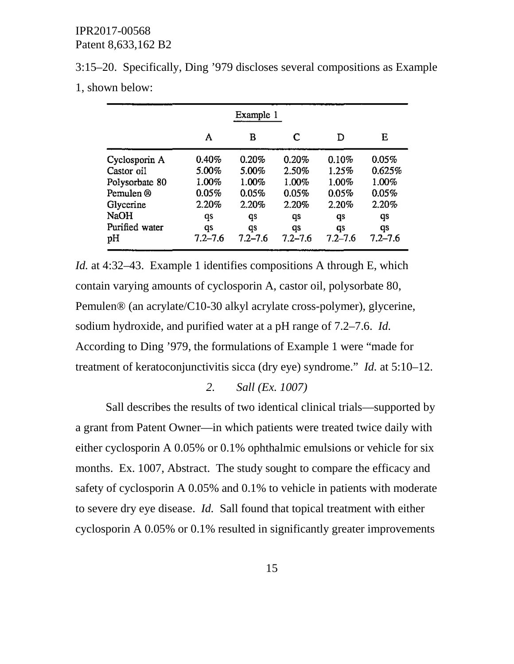3:15–20. Specifically, Ding '979 discloses several compositions as Example 1, shown below:

|                | Example 1   |             |             |             |             |  |  |
|----------------|-------------|-------------|-------------|-------------|-------------|--|--|
|                | A           | в           | C           | D           | Е           |  |  |
| Cyclosporin A  | $0.40\%$    | 0.20%       | 0.20%       | 0.10%       | 0.05%       |  |  |
| Castor oil     | 5.00%       | 5.00%       | 2.50%       | 1.25%       | 0.625%      |  |  |
| Polysorbate 80 | 1.00%       | 1.00%       | 1.00%       | 1.00%       | 1.00%       |  |  |
| Pemulen ®      | 0.05%       | 0.05%       | 0.05%       | 0.05%       | 0.05%       |  |  |
| Glycerine      | 2.20%       | 2.20%       | 2.20%       | 2.20%       | 2.20%       |  |  |
| <b>NaOH</b>    | qs          | qs          | qs          | qs          | qs          |  |  |
| Purified water | qs          | qs          | qs          | qs          | qs          |  |  |
| pН             | $7.2 - 7.6$ | $7.2 - 7.6$ | $7.2 - 7.6$ | $7.2 - 7.6$ | $7.2 - 7.6$ |  |  |

*Id.* at 4:32–43. Example 1 identifies compositions A through E, which contain varying amounts of cyclosporin A, castor oil, polysorbate 80, Pemulen® (an acrylate/C10-30 alkyl acrylate cross-polymer), glycerine, sodium hydroxide, and purified water at a pH range of 7.2–7.6. *Id.* According to Ding '979, the formulations of Example 1 were "made for treatment of keratoconjunctivitis sicca (dry eye) syndrome." *Id.* at 5:10–12.

## *2. Sall (Ex. 1007)*

Sall describes the results of two identical clinical trials—supported by a grant from Patent Owner—in which patients were treated twice daily with either cyclosporin A 0.05% or 0.1% ophthalmic emulsions or vehicle for six months. Ex. 1007, Abstract. The study sought to compare the efficacy and safety of cyclosporin A 0.05% and 0.1% to vehicle in patients with moderate to severe dry eye disease. *Id.* Sall found that topical treatment with either cyclosporin A 0.05% or 0.1% resulted in significantly greater improvements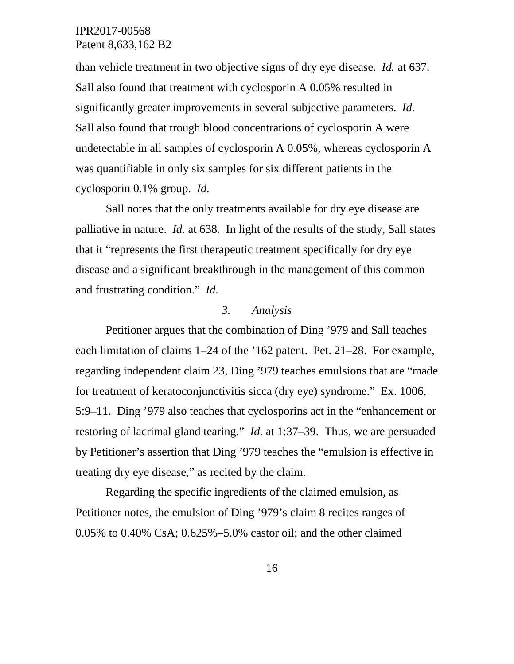than vehicle treatment in two objective signs of dry eye disease. *Id.* at 637. Sall also found that treatment with cyclosporin A 0.05% resulted in significantly greater improvements in several subjective parameters. *Id.* Sall also found that trough blood concentrations of cyclosporin A were undetectable in all samples of cyclosporin A 0.05%, whereas cyclosporin A was quantifiable in only six samples for six different patients in the cyclosporin 0.1% group. *Id.*

Sall notes that the only treatments available for dry eye disease are palliative in nature. *Id.* at 638. In light of the results of the study, Sall states that it "represents the first therapeutic treatment specifically for dry eye disease and a significant breakthrough in the management of this common and frustrating condition." *Id.*

## *3. Analysis*

Petitioner argues that the combination of Ding '979 and Sall teaches each limitation of claims 1–24 of the '162 patent. Pet. 21–28. For example, regarding independent claim 23, Ding '979 teaches emulsions that are "made for treatment of keratoconjunctivitis sicca (dry eye) syndrome." Ex. 1006, 5:9–11. Ding '979 also teaches that cyclosporins act in the "enhancement or restoring of lacrimal gland tearing." *Id.* at 1:37–39. Thus, we are persuaded by Petitioner's assertion that Ding '979 teaches the "emulsion is effective in treating dry eye disease," as recited by the claim.

Regarding the specific ingredients of the claimed emulsion, as Petitioner notes, the emulsion of Ding '979's claim 8 recites ranges of 0.05% to 0.40% CsA; 0.625%–5.0% castor oil; and the other claimed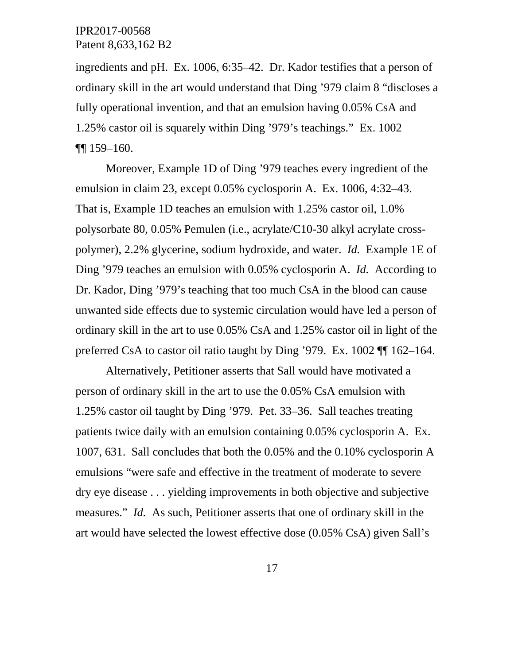ingredients and pH. Ex. 1006, 6:35–42. Dr. Kador testifies that a person of ordinary skill in the art would understand that Ding '979 claim 8 "discloses a fully operational invention, and that an emulsion having 0.05% CsA and 1.25% castor oil is squarely within Ding '979's teachings." Ex. 1002 ¶¶ 159–160.

Moreover, Example 1D of Ding '979 teaches every ingredient of the emulsion in claim 23, except 0.05% cyclosporin A. Ex. 1006, 4:32–43. That is, Example 1D teaches an emulsion with 1.25% castor oil, 1.0% polysorbate 80, 0.05% Pemulen (i.e., acrylate/C10-30 alkyl acrylate crosspolymer), 2.2% glycerine, sodium hydroxide, and water. *Id.* Example 1E of Ding '979 teaches an emulsion with 0.05% cyclosporin A. *Id.* According to Dr. Kador, Ding '979's teaching that too much CsA in the blood can cause unwanted side effects due to systemic circulation would have led a person of ordinary skill in the art to use 0.05% CsA and 1.25% castor oil in light of the preferred CsA to castor oil ratio taught by Ding '979. Ex. 1002 ¶¶ 162–164.

Alternatively, Petitioner asserts that Sall would have motivated a person of ordinary skill in the art to use the 0.05% CsA emulsion with 1.25% castor oil taught by Ding '979. Pet. 33–36. Sall teaches treating patients twice daily with an emulsion containing 0.05% cyclosporin A. Ex. 1007, 631. Sall concludes that both the 0.05% and the 0.10% cyclosporin A emulsions "were safe and effective in the treatment of moderate to severe dry eye disease . . . yielding improvements in both objective and subjective measures." *Id.* As such, Petitioner asserts that one of ordinary skill in the art would have selected the lowest effective dose (0.05% CsA) given Sall's

17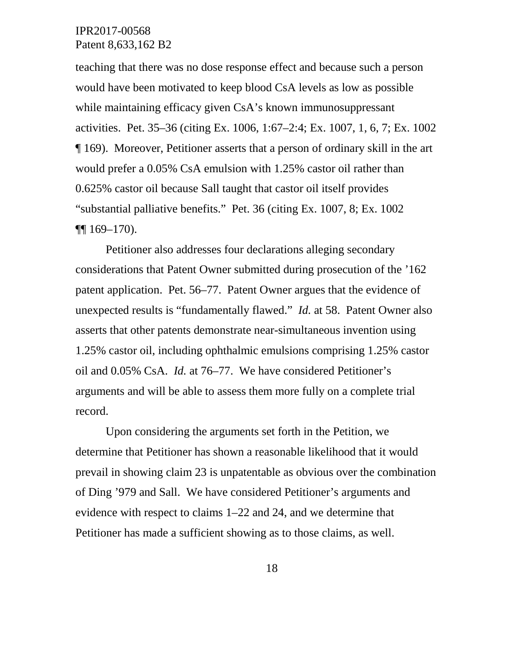teaching that there was no dose response effect and because such a person would have been motivated to keep blood CsA levels as low as possible while maintaining efficacy given CsA's known immunosuppressant activities. Pet. 35–36 (citing Ex. 1006, 1:67–2:4; Ex. 1007, 1, 6, 7; Ex. 1002 ¶ 169). Moreover, Petitioner asserts that a person of ordinary skill in the art would prefer a 0.05% CsA emulsion with 1.25% castor oil rather than 0.625% castor oil because Sall taught that castor oil itself provides "substantial palliative benefits." Pet. 36 (citing Ex. 1007, 8; Ex. 1002  $\P\P$  169–170).

Petitioner also addresses four declarations alleging secondary considerations that Patent Owner submitted during prosecution of the '162 patent application. Pet. 56–77. Patent Owner argues that the evidence of unexpected results is "fundamentally flawed." *Id.* at 58. Patent Owner also asserts that other patents demonstrate near-simultaneous invention using 1.25% castor oil, including ophthalmic emulsions comprising 1.25% castor oil and 0.05% CsA. *Id.* at 76–77. We have considered Petitioner's arguments and will be able to assess them more fully on a complete trial record.

Upon considering the arguments set forth in the Petition, we determine that Petitioner has shown a reasonable likelihood that it would prevail in showing claim 23 is unpatentable as obvious over the combination of Ding '979 and Sall. We have considered Petitioner's arguments and evidence with respect to claims 1–22 and 24, and we determine that Petitioner has made a sufficient showing as to those claims, as well.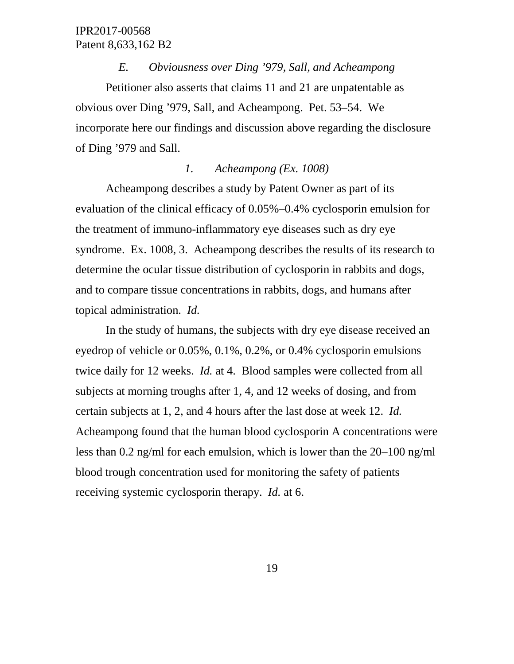*E. Obviousness over Ding '979, Sall, and Acheampong* Petitioner also asserts that claims 11 and 21 are unpatentable as obvious over Ding '979, Sall, and Acheampong. Pet. 53–54. We incorporate here our findings and discussion above regarding the disclosure of Ding '979 and Sall.

## *1. Acheampong (Ex. 1008)*

Acheampong describes a study by Patent Owner as part of its evaluation of the clinical efficacy of 0.05%–0.4% cyclosporin emulsion for the treatment of immuno-inflammatory eye diseases such as dry eye syndrome. Ex. 1008, 3. Acheampong describes the results of its research to determine the ocular tissue distribution of cyclosporin in rabbits and dogs, and to compare tissue concentrations in rabbits, dogs, and humans after topical administration. *Id.*

In the study of humans, the subjects with dry eye disease received an eyedrop of vehicle or 0.05%, 0.1%, 0.2%, or 0.4% cyclosporin emulsions twice daily for 12 weeks. *Id.* at 4. Blood samples were collected from all subjects at morning troughs after 1, 4, and 12 weeks of dosing, and from certain subjects at 1, 2, and 4 hours after the last dose at week 12. *Id.* Acheampong found that the human blood cyclosporin A concentrations were less than 0.2 ng/ml for each emulsion, which is lower than the 20–100 ng/ml blood trough concentration used for monitoring the safety of patients receiving systemic cyclosporin therapy. *Id.* at 6.

19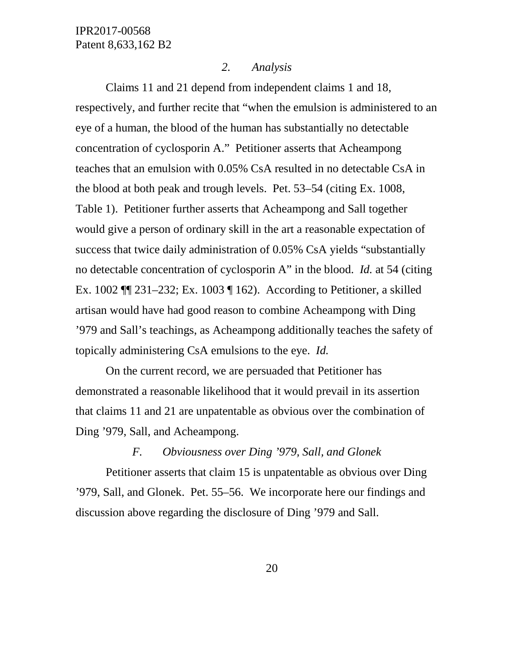#### *2. Analysis*

Claims 11 and 21 depend from independent claims 1 and 18, respectively, and further recite that "when the emulsion is administered to an eye of a human, the blood of the human has substantially no detectable concentration of cyclosporin A." Petitioner asserts that Acheampong teaches that an emulsion with 0.05% CsA resulted in no detectable CsA in the blood at both peak and trough levels. Pet. 53–54 (citing Ex. 1008, Table 1). Petitioner further asserts that Acheampong and Sall together would give a person of ordinary skill in the art a reasonable expectation of success that twice daily administration of 0.05% CsA yields "substantially no detectable concentration of cyclosporin A" in the blood. *Id.* at 54 (citing Ex. 1002 ¶¶ 231–232; Ex. 1003 ¶ 162). According to Petitioner, a skilled artisan would have had good reason to combine Acheampong with Ding '979 and Sall's teachings, as Acheampong additionally teaches the safety of topically administering CsA emulsions to the eye. *Id.*

On the current record, we are persuaded that Petitioner has demonstrated a reasonable likelihood that it would prevail in its assertion that claims 11 and 21 are unpatentable as obvious over the combination of Ding '979, Sall, and Acheampong.

## *F. Obviousness over Ding '979, Sall, and Glonek*

Petitioner asserts that claim 15 is unpatentable as obvious over Ding '979, Sall, and Glonek. Pet. 55–56. We incorporate here our findings and discussion above regarding the disclosure of Ding '979 and Sall.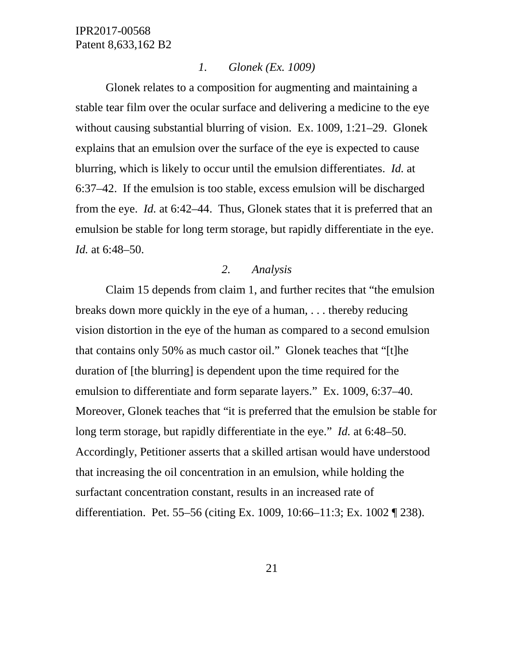### *1. Glonek (Ex. 1009)*

Glonek relates to a composition for augmenting and maintaining a stable tear film over the ocular surface and delivering a medicine to the eye without causing substantial blurring of vision. Ex. 1009, 1:21–29. Glonek explains that an emulsion over the surface of the eye is expected to cause blurring, which is likely to occur until the emulsion differentiates. *Id.* at 6:37–42. If the emulsion is too stable, excess emulsion will be discharged from the eye. *Id.* at 6:42–44. Thus, Glonek states that it is preferred that an emulsion be stable for long term storage, but rapidly differentiate in the eye. *Id.* at 6:48–50.

## *2. Analysis*

Claim 15 depends from claim 1, and further recites that "the emulsion breaks down more quickly in the eye of a human, . . . thereby reducing vision distortion in the eye of the human as compared to a second emulsion that contains only 50% as much castor oil." Glonek teaches that "[t]he duration of [the blurring] is dependent upon the time required for the emulsion to differentiate and form separate layers." Ex. 1009, 6:37–40. Moreover, Glonek teaches that "it is preferred that the emulsion be stable for long term storage, but rapidly differentiate in the eye." *Id.* at 6:48–50. Accordingly, Petitioner asserts that a skilled artisan would have understood that increasing the oil concentration in an emulsion, while holding the surfactant concentration constant, results in an increased rate of differentiation. Pet. 55–56 (citing Ex. 1009, 10:66–11:3; Ex. 1002 ¶ 238).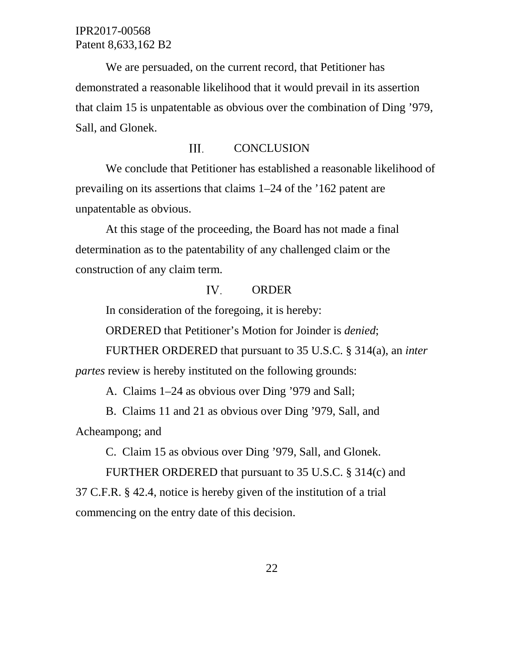We are persuaded, on the current record, that Petitioner has demonstrated a reasonable likelihood that it would prevail in its assertion that claim 15 is unpatentable as obvious over the combination of Ding '979, Sall, and Glonek.

#### III. **CONCLUSION**

We conclude that Petitioner has established a reasonable likelihood of prevailing on its assertions that claims 1–24 of the '162 patent are unpatentable as obvious.

At this stage of the proceeding, the Board has not made a final determination as to the patentability of any challenged claim or the construction of any claim term.

#### IV. ORDER

In consideration of the foregoing, it is hereby:

ORDERED that Petitioner's Motion for Joinder is *denied*;

FURTHER ORDERED that pursuant to 35 U.S.C. § 314(a), an *inter* 

*partes* review is hereby instituted on the following grounds:

A. Claims 1–24 as obvious over Ding '979 and Sall;

B. Claims 11 and 21 as obvious over Ding '979, Sall, and Acheampong; and

C. Claim 15 as obvious over Ding '979, Sall, and Glonek.

FURTHER ORDERED that pursuant to 35 U.S.C. § 314(c) and 37 C.F.R. § 42.4, notice is hereby given of the institution of a trial commencing on the entry date of this decision.